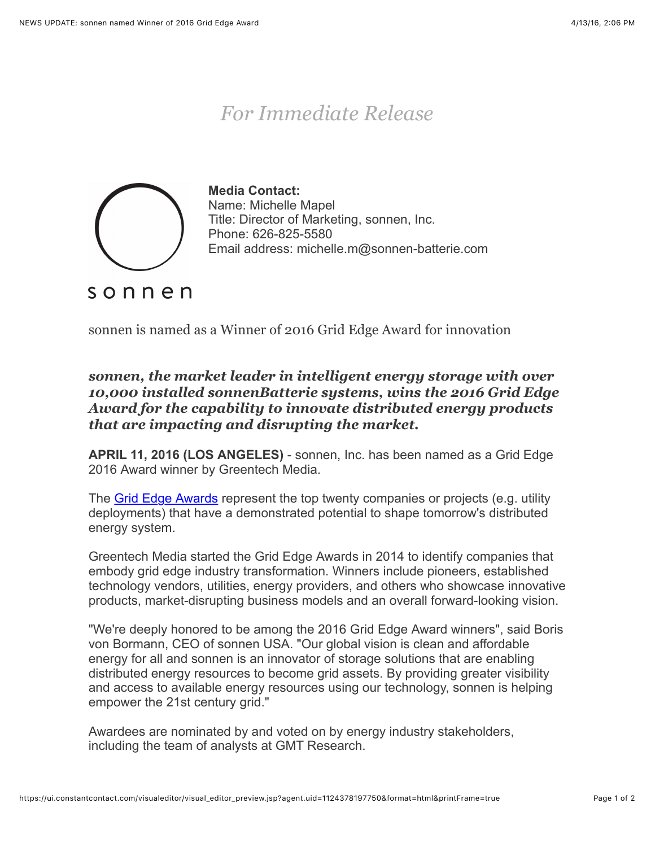## *For Immediate Release*



**Media Contact:** Name: Michelle Mapel Title: Director of Marketing, sonnen, Inc. Phone: 626-825-5580 Email address: michelle.m@sonnen-batterie.com

sonnen

sonnen is named as a Winner of 2016 Grid Edge Award for innovation

*sonnen, the market leader in intelligent energy storage with over 10,000 installed sonnenBatterie systems, wins the 2016 Grid Edge Award for the capability to innovate distributed energy products that are impacting and disrupting the market.*

**APRIL 11, 2016 (LOS ANGELES)** - sonnen, Inc. has been named as a Grid Edge 2016 Award winner by Greentech Media.

The [Grid Edge Awards](http://www.greentechmedia.com/articles/read/the-grid-edge-20-building-the-21st-century-energy-system) represent the top twenty companies or projects (e.g. utility deployments) that have a demonstrated potential to shape tomorrow's distributed energy system.

Greentech Media started the Grid Edge Awards in 2014 to identify companies that embody grid edge industry transformation. Winners include pioneers, established technology vendors, utilities, energy providers, and others who showcase innovative products, market-disrupting business models and an overall forward-looking vision.

"We're deeply honored to be among the 2016 Grid Edge Award winners", said Boris von Bormann, CEO of sonnen USA. "Our global vision is clean and affordable energy for all and sonnen is an innovator of storage solutions that are enabling distributed energy resources to become grid assets. By providing greater visibility and access to available energy resources using our technology, sonnen is helping empower the 21st century grid."

Awardees are nominated by and voted on by energy industry stakeholders, including the team of analysts at GMT Research.